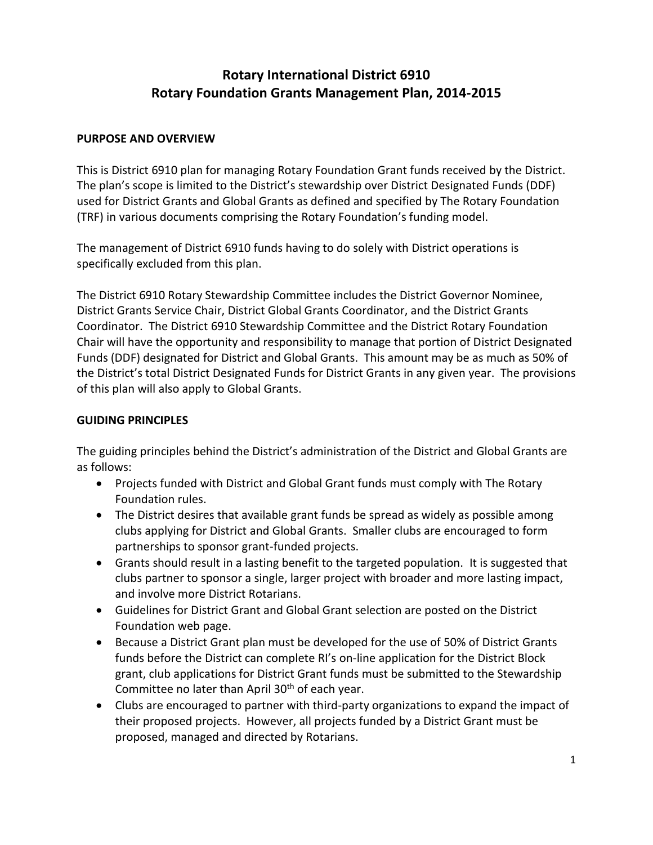# **Rotary International District 6910 Rotary Foundation Grants Management Plan, 2014-2015**

#### **PURPOSE AND OVERVIEW**

This is District 6910 plan for managing Rotary Foundation Grant funds received by the District. The plan's scope is limited to the District's stewardship over District Designated Funds (DDF) used for District Grants and Global Grants as defined and specified by The Rotary Foundation (TRF) in various documents comprising the Rotary Foundation's funding model.

The management of District 6910 funds having to do solely with District operations is specifically excluded from this plan.

The District 6910 Rotary Stewardship Committee includes the District Governor Nominee, District Grants Service Chair, District Global Grants Coordinator, and the District Grants Coordinator. The District 6910 Stewardship Committee and the District Rotary Foundation Chair will have the opportunity and responsibility to manage that portion of District Designated Funds (DDF) designated for District and Global Grants. This amount may be as much as 50% of the District's total District Designated Funds for District Grants in any given year. The provisions of this plan will also apply to Global Grants.

#### **GUIDING PRINCIPLES**

The guiding principles behind the District's administration of the District and Global Grants are as follows:

- Projects funded with District and Global Grant funds must comply with The Rotary Foundation rules.
- The District desires that available grant funds be spread as widely as possible among clubs applying for District and Global Grants. Smaller clubs are encouraged to form partnerships to sponsor grant-funded projects.
- Grants should result in a lasting benefit to the targeted population. It is suggested that clubs partner to sponsor a single, larger project with broader and more lasting impact, and involve more District Rotarians.
- Guidelines for District Grant and Global Grant selection are posted on the District Foundation web page.
- Because a District Grant plan must be developed for the use of 50% of District Grants funds before the District can complete RI's on-line application for the District Block grant, club applications for District Grant funds must be submitted to the Stewardship Committee no later than April 30<sup>th</sup> of each year.
- Clubs are encouraged to partner with third-party organizations to expand the impact of their proposed projects. However, all projects funded by a District Grant must be proposed, managed and directed by Rotarians.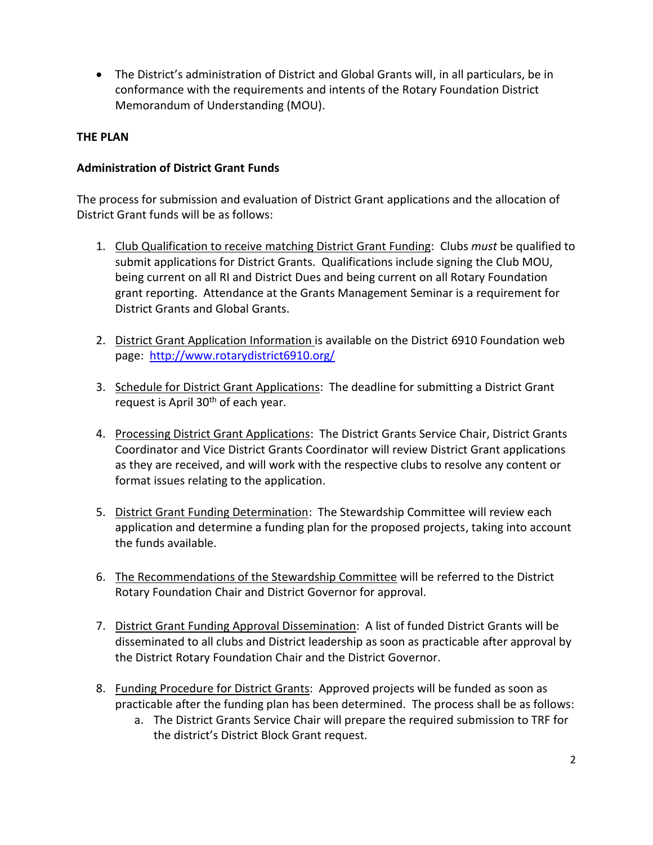The District's administration of District and Global Grants will, in all particulars, be in conformance with the requirements and intents of the Rotary Foundation District Memorandum of Understanding (MOU).

## **THE PLAN**

# **Administration of District Grant Funds**

The process for submission and evaluation of District Grant applications and the allocation of District Grant funds will be as follows:

- 1. Club Qualification to receive matching District Grant Funding: Clubs *must* be qualified to submit applications for District Grants. Qualifications include signing the Club MOU, being current on all RI and District Dues and being current on all Rotary Foundation grant reporting. Attendance at the Grants Management Seminar is a requirement for District Grants and Global Grants.
- 2. District Grant Application Information is available on the District 6910 Foundation web page: <http://www.rotarydistrict6910.org/>
- 3. Schedule for District Grant Applications: The deadline for submitting a District Grant request is April  $30<sup>th</sup>$  of each year.
- 4. Processing District Grant Applications: The District Grants Service Chair, District Grants Coordinator and Vice District Grants Coordinator will review District Grant applications as they are received, and will work with the respective clubs to resolve any content or format issues relating to the application.
- 5. District Grant Funding Determination: The Stewardship Committee will review each application and determine a funding plan for the proposed projects, taking into account the funds available.
- 6. The Recommendations of the Stewardship Committee will be referred to the District Rotary Foundation Chair and District Governor for approval.
- 7. District Grant Funding Approval Dissemination: A list of funded District Grants will be disseminated to all clubs and District leadership as soon as practicable after approval by the District Rotary Foundation Chair and the District Governor.
- 8. Funding Procedure for District Grants: Approved projects will be funded as soon as practicable after the funding plan has been determined. The process shall be as follows:
	- a. The District Grants Service Chair will prepare the required submission to TRF for the district's District Block Grant request.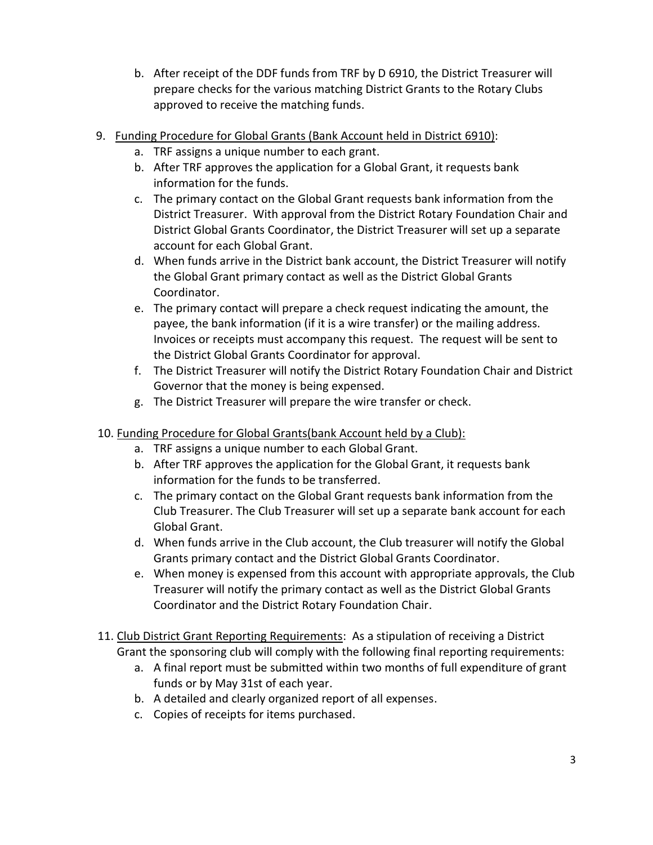- b. After receipt of the DDF funds from TRF by D 6910, the District Treasurer will prepare checks for the various matching District Grants to the Rotary Clubs approved to receive the matching funds.
- 9. Funding Procedure for Global Grants (Bank Account held in District 6910):
	- a. TRF assigns a unique number to each grant.
	- b. After TRF approves the application for a Global Grant, it requests bank information for the funds.
	- c. The primary contact on the Global Grant requests bank information from the District Treasurer. With approval from the District Rotary Foundation Chair and District Global Grants Coordinator, the District Treasurer will set up a separate account for each Global Grant.
	- d. When funds arrive in the District bank account, the District Treasurer will notify the Global Grant primary contact as well as the District Global Grants Coordinator.
	- e. The primary contact will prepare a check request indicating the amount, the payee, the bank information (if it is a wire transfer) or the mailing address. Invoices or receipts must accompany this request. The request will be sent to the District Global Grants Coordinator for approval.
	- f. The District Treasurer will notify the District Rotary Foundation Chair and District Governor that the money is being expensed.
	- g. The District Treasurer will prepare the wire transfer or check.

## 10. Funding Procedure for Global Grants(bank Account held by a Club):

- a. TRF assigns a unique number to each Global Grant.
- b. After TRF approves the application for the Global Grant, it requests bank information for the funds to be transferred.
- c. The primary contact on the Global Grant requests bank information from the Club Treasurer. The Club Treasurer will set up a separate bank account for each Global Grant.
- d. When funds arrive in the Club account, the Club treasurer will notify the Global Grants primary contact and the District Global Grants Coordinator.
- e. When money is expensed from this account with appropriate approvals, the Club Treasurer will notify the primary contact as well as the District Global Grants Coordinator and the District Rotary Foundation Chair.
- 11. Club District Grant Reporting Requirements: As a stipulation of receiving a District Grant the sponsoring club will comply with the following final reporting requirements:
	- a. A final report must be submitted within two months of full expenditure of grant funds or by May 31st of each year.
	- b. A detailed and clearly organized report of all expenses.
	- c. Copies of receipts for items purchased.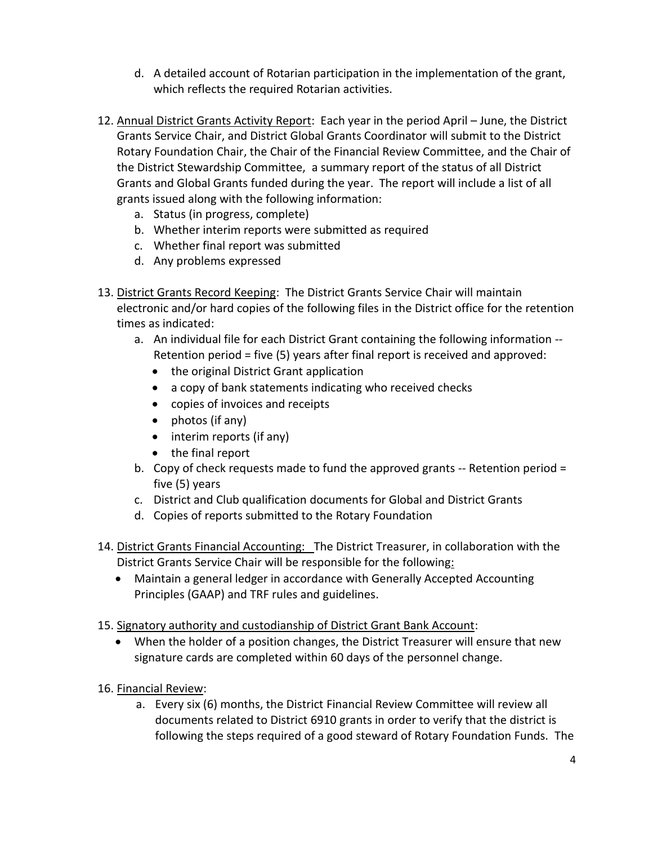- d. A detailed account of Rotarian participation in the implementation of the grant, which reflects the required Rotarian activities.
- 12. Annual District Grants Activity Report: Each year in the period April June, the District Grants Service Chair, and District Global Grants Coordinator will submit to the District Rotary Foundation Chair, the Chair of the Financial Review Committee, and the Chair of the District Stewardship Committee, a summary report of the status of all District Grants and Global Grants funded during the year. The report will include a list of all grants issued along with the following information:
	- a. Status (in progress, complete)
	- b. Whether interim reports were submitted as required
	- c. Whether final report was submitted
	- d. Any problems expressed
- 13. District Grants Record Keeping: The District Grants Service Chair will maintain electronic and/or hard copies of the following files in the District office for the retention times as indicated:
	- a. An individual file for each District Grant containing the following information -- Retention period = five (5) years after final report is received and approved:
		- the original District Grant application
		- a copy of bank statements indicating who received checks
		- copies of invoices and receipts
		- photos (if any)
		- interim reports (if any)
		- the final report
	- b. Copy of check requests made to fund the approved grants -- Retention period = five (5) years
	- c. District and Club qualification documents for Global and District Grants
	- d. Copies of reports submitted to the Rotary Foundation
- 14. District Grants Financial Accounting: The District Treasurer, in collaboration with the District Grants Service Chair will be responsible for the following:
	- Maintain a general ledger in accordance with Generally Accepted Accounting Principles (GAAP) and TRF rules and guidelines.
- 15. Signatory authority and custodianship of District Grant Bank Account:
	- When the holder of a position changes, the District Treasurer will ensure that new signature cards are completed within 60 days of the personnel change.
- 16. Financial Review:
	- a. Every six (6) months, the District Financial Review Committee will review all documents related to District 6910 grants in order to verify that the district is following the steps required of a good steward of Rotary Foundation Funds. The